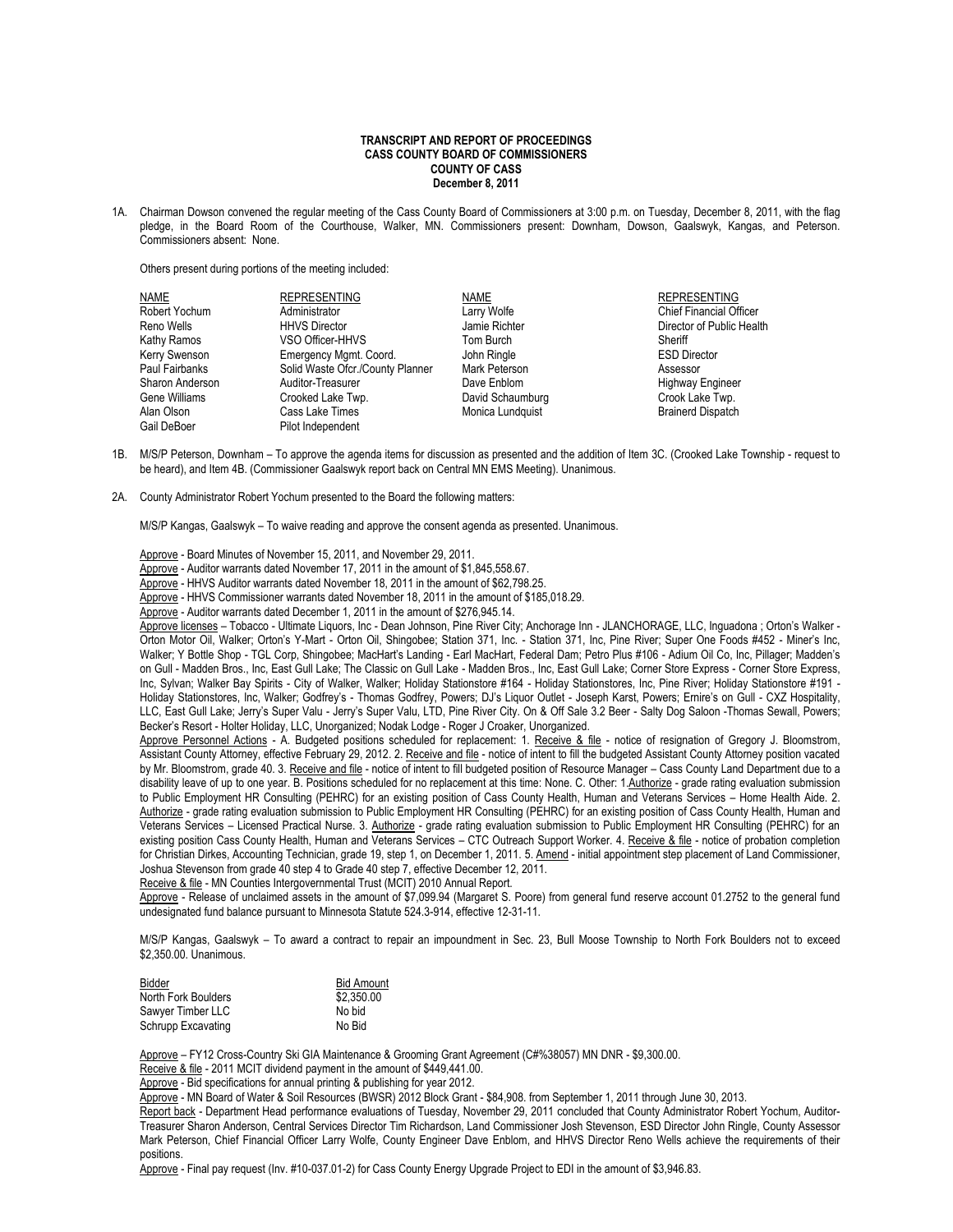## **TRANSCRIPT AND REPORT OF PROCEEDINGS CASS COUNTY BOARD OF COMMISSIONERS COUNTY OF CASS December 8, 2011**

1A. Chairman Dowson convened the regular meeting of the Cass County Board of Commissioners at 3:00 p.m. on Tuesday, December 8, 2011, with the flag pledge, in the Board Room of the Courthouse, Walker, MN. Commissioners present: Downham, Dowson, Gaalswyk, Kangas, and Peterson. Commissioners absent: None.

Others present during portions of the meeting included:

| NAME            | <b>REPRESENTING</b>              | NAME             | <b>REPRESENTING</b>            |
|-----------------|----------------------------------|------------------|--------------------------------|
| Robert Yochum   | Administrator                    | Larry Wolfe      | <b>Chief Financial Officer</b> |
| Reno Wells      | <b>HHVS Director</b>             | Jamie Richter    | Director of Public Health      |
| Kathy Ramos     | VSO Officer-HHVS                 | Tom Burch        | Sheriff                        |
| Kerry Swenson   | Emergency Mgmt. Coord.           | John Ringle      | <b>ESD Director</b>            |
| Paul Fairbanks  | Solid Waste Ofcr./County Planner | Mark Peterson    | Assessor                       |
| Sharon Anderson | Auditor-Treasurer                | Dave Enblom      | <b>Highway Engineer</b>        |
| Gene Williams   | Crooked Lake Twp.                | David Schaumburg | Crook Lake Twp.                |
| Alan Olson      | Cass Lake Times                  | Monica Lundquist | <b>Brainerd Dispatch</b>       |
| Gail DeBoer     | Pilot Independent                |                  |                                |

- 1B. M/S/P Peterson, Downham To approve the agenda items for discussion as presented and the addition of Item 3C. (Crooked Lake Township request to be heard), and Item 4B. (Commissioner Gaalswyk report back on Central MN EMS Meeting). Unanimous.
- 2A. County Administrator Robert Yochum presented to the Board the following matters:

M/S/P Kangas, Gaalswyk – To waive reading and approve the consent agenda as presented. Unanimous.

Approve - Board Minutes of November 15, 2011, and November 29, 2011.

Approve - Auditor warrants dated November 17, 2011 in the amount of \$1,845,558.67.

Approve - HHVS Auditor warrants dated November 18, 2011 in the amount of \$62,798.25.

Approve - HHVS Commissioner warrants dated November 18, 2011 in the amount of \$185,018.29.

Approve - Auditor warrants dated December 1, 2011 in the amount of \$276,945.14.

Approve licenses – Tobacco - Ultimate Liquors, Inc - Dean Johnson, Pine River City; Anchorage Inn - JLANCHORAGE, LLC, Inguadona ; Orton's Walker - Orton Motor Oil, Walker; Orton's Y-Mart - Orton Oil, Shingobee; Station 371, Inc. - Station 371, Inc, Pine River; Super One Foods #452 - Miner's Inc, Walker; Y Bottle Shop - TGL Corp, Shingobee; MacHart's Landing - Earl MacHart, Federal Dam; Petro Plus #106 - Adium Oil Co, Inc, Pillager; Madden's on Gull - Madden Bros., Inc, East Gull Lake; The Classic on Gull Lake - Madden Bros., Inc, East Gull Lake; Corner Store Express - Corner Store Express, Inc, Sylvan; Walker Bay Spirits - City of Walker, Walker; Holiday Stationstore #164 - Holiday Stationstores, Inc, Pine River; Holiday Stationstore #191 - Holiday Stationstores, Inc, Walker; Godfrey's - Thomas Godfrey, Powers; DJ's Liquor Outlet - Joseph Karst, Powers; Ernire's on Gull - CXZ Hospitality, LLC, East Gull Lake; Jerry's Super Valu - Jerry's Super Valu, LTD, Pine River City. On & Off Sale 3.2 Beer - Salty Dog Saloon -Thomas Sewall, Powers; Becker's Resort - Holter Holiday, LLC, Unorganized; Nodak Lodge - Roger J Croaker, Unorganized.

Approve Personnel Actions - A. Budgeted positions scheduled for replacement: 1. Receive & file - notice of resignation of Gregory J. Bloomstrom, Assistant County Attorney, effective February 29, 2012. 2. Receive and file - notice of intent to fill the budgeted Assistant County Attorney position vacated by Mr. Bloomstrom, grade 40. 3. Receive and file - notice of intent to fill budgeted position of Resource Manager - Cass County Land Department due to a disability leave of up to one year. B. Positions scheduled for no replacement at this time: None. C. Other: 1.Authorize - grade rating evaluation submission to Public Employment HR Consulting (PEHRC) for an existing position of Cass County Health, Human and Veterans Services – Home Health Aide. 2. Authorize - grade rating evaluation submission to Public Employment HR Consulting (PEHRC) for an existing position of Cass County Health, Human and Veterans Services – Licensed Practical Nurse. 3. Authorize - grade rating evaluation submission to Public Employment HR Consulting (PEHRC) for an existing position Cass County Health, Human and Veterans Services - CTC Outreach Support Worker. 4. Receive & file - notice of probation completion for Christian Dirkes, Accounting Technician, grade 19, step 1, on December 1, 2011. 5. Amend - initial appointment step placement of Land Commissioner, Joshua Stevenson from grade 40 step 4 to Grade 40 step 7, effective December 12, 2011.

Receive & file - MN Counties Intergovernmental Trust (MCIT) 2010 Annual Report.

Approve - Release of unclaimed assets in the amount of \$7,099.94 (Margaret S. Poore) from general fund reserve account 01.2752 to the general fund undesignated fund balance pursuant to Minnesota Statute 524.3-914, effective 12-31-11.

M/S/P Kangas, Gaalswyk – To award a contract to repair an impoundment in Sec. 23, Bull Moose Township to North Fork Boulders not to exceed \$2,350.00. Unanimous.

| Bidder              | <b>Bid Amount</b> |
|---------------------|-------------------|
| North Fork Boulders | \$2.350.00        |
| Sawyer Timber LLC   | No bid            |
| Schrupp Excavating  | No Bid            |

Approve - FY12 Cross-Country Ski GIA Maintenance & Grooming Grant Agreement (C#%38057) MN DNR - \$9,300.00.

Receive & file - 2011 MCIT dividend payment in the amount of \$449,441.00.

Approve - Bid specifications for annual printing & publishing for year 2012.

Approve - MN Board of Water & Soil Resources (BWSR) 2012 Block Grant - \$84,908. from September 1, 2011 through June 30, 2013.

Report back - Department Head performance evaluations of Tuesday, November 29, 2011 concluded that County Administrator Robert Yochum, Auditor-Treasurer Sharon Anderson, Central Services Director Tim Richardson, Land Commissioner Josh Stevenson, ESD Director John Ringle, County Assessor Mark Peterson, Chief Financial Officer Larry Wolfe, County Engineer Dave Enblom, and HHVS Director Reno Wells achieve the requirements of their positions.

Approve - Final pay request (Inv. #10-037.01-2) for Cass County Energy Upgrade Project to EDI in the amount of \$3,946.83.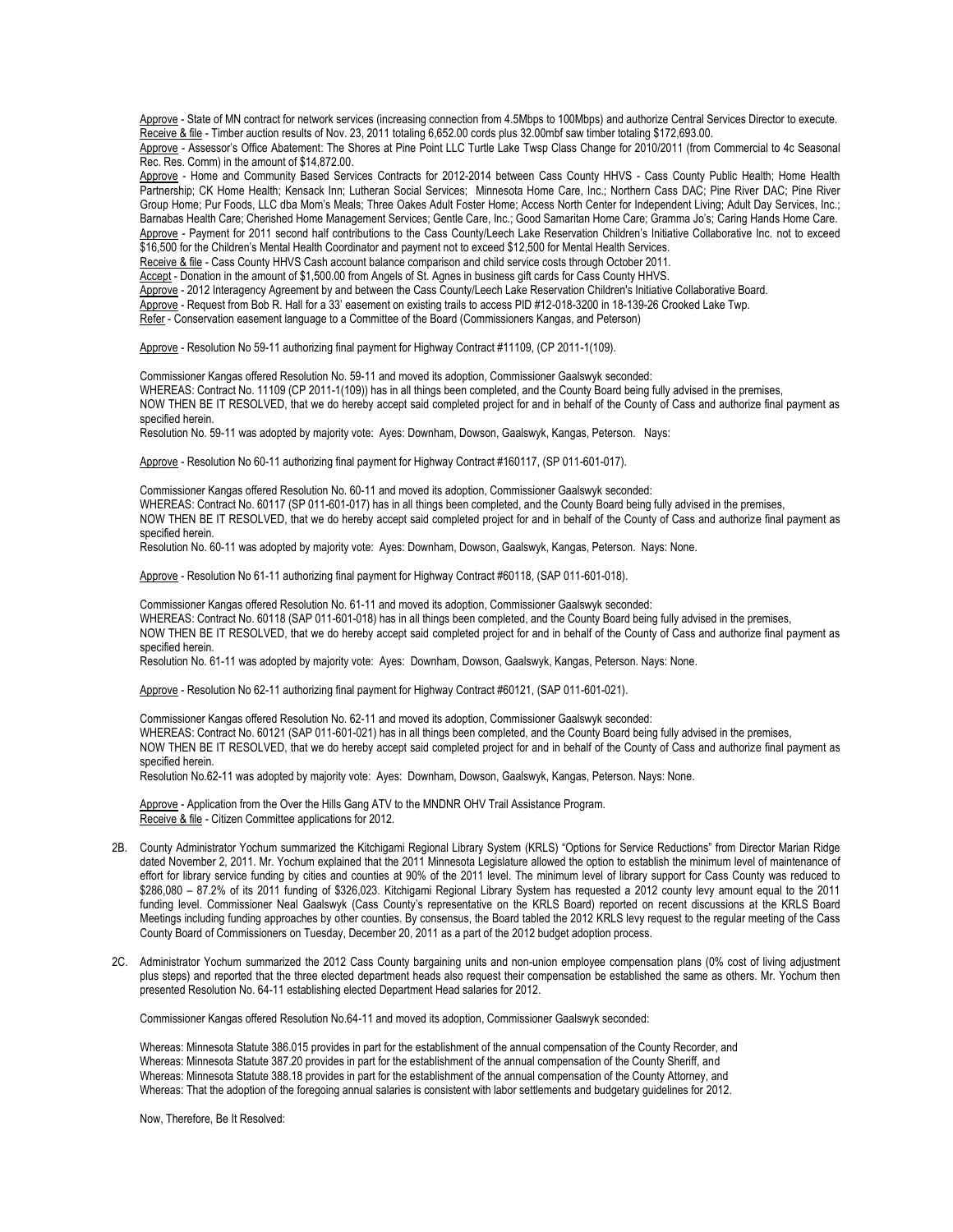Approve - State of MN contract for network services (increasing connection from 4.5Mbps to 100Mbps) and authorize Central Services Director to execute. Receive & file - Timber auction results of Nov. 23, 2011 totaling 6,652.00 cords plus 32.00mbf saw timber totaling \$172,693.00.

Approve - Assessor's Office Abatement: The Shores at Pine Point LLC Turtle Lake Twsp Class Change for 2010/2011 (from Commercial to 4c Seasonal Rec. Res. Comm) in the amount of \$14,872.00.

Approve - Home and Community Based Services Contracts for 2012-2014 between Cass County HHVS - Cass County Public Health; Home Health Partnership; CK Home Health; Kensack Inn; Lutheran Social Services; Minnesota Home Care, Inc.; Northern Cass DAC; Pine River DAC; Pine River Group Home; Pur Foods, LLC dba Mom's Meals; Three Oakes Adult Foster Home; Access North Center for Independent Living; Adult Day Services, Inc.; Barnabas Health Care; Cherished Home Management Services; Gentle Care, Inc.; Good Samaritan Home Care; Gramma Jo's; Caring Hands Home Care. Approve - Payment for 2011 second half contributions to the Cass County/Leech Lake Reservation Children's Initiative Collaborative Inc. not to exceed \$16,500 for the Children's Mental Health Coordinator and payment not to exceed \$12,500 for Mental Health Services.

Receive & file - Cass County HHVS Cash account balance comparison and child service costs through October 2011.

Accept - Donation in the amount of \$1,500.00 from Angels of St. Agnes in business gift cards for Cass County HHVS.

Approve - 2012 Interagency Agreement by and between the Cass County/Leech Lake Reservation Children's Initiative Collaborative Board.

Approve - Request from Bob R. Hall for a 33' easement on existing trails to access PID #12-018-3200 in 18-139-26 Crooked Lake Twp.

Refer - Conservation easement language to a Committee of the Board (Commissioners Kangas, and Peterson)

Approve - Resolution No 59-11 authorizing final payment for Highway Contract #11109, (CP 2011-1(109).

Commissioner Kangas offered Resolution No. 59-11 and moved its adoption, Commissioner Gaalswyk seconded:

WHEREAS: Contract No. 11109 (CP 2011-1(109)) has in all things been completed, and the County Board being fully advised in the premises,

NOW THEN BE IT RESOLVED, that we do hereby accept said completed project for and in behalf of the County of Cass and authorize final payment as specified herein.

Resolution No. 59-11 was adopted by majority vote: Ayes: Downham, Dowson, Gaalswyk, Kangas, Peterson. Nays:

Approve - Resolution No 60-11 authorizing final payment for Highway Contract #160117, (SP 011-601-017).

Commissioner Kangas offered Resolution No. 60-11 and moved its adoption, Commissioner Gaalswyk seconded: WHEREAS: Contract No. 60117 (SP 011-601-017) has in all things been completed, and the County Board being fully advised in the premises, NOW THEN BE IT RESOLVED, that we do hereby accept said completed project for and in behalf of the County of Cass and authorize final payment as specified herein.

Resolution No. 60-11 was adopted by majority vote: Ayes: Downham, Dowson, Gaalswyk, Kangas, Peterson. Nays: None.

Approve - Resolution No 61-11 authorizing final payment for Highway Contract #60118, (SAP 011-601-018).

Commissioner Kangas offered Resolution No. 61-11 and moved its adoption, Commissioner Gaalswyk seconded: WHEREAS: Contract No. 60118 (SAP 011-601-018) has in all things been completed, and the County Board being fully advised in the premises, NOW THEN BE IT RESOLVED, that we do hereby accept said completed project for and in behalf of the County of Cass and authorize final payment as specified herein.

Resolution No. 61-11 was adopted by majority vote: Ayes: Downham, Dowson, Gaalswyk, Kangas, Peterson. Nays: None.

Approve - Resolution No 62-11 authorizing final payment for Highway Contract #60121, (SAP 011-601-021).

Commissioner Kangas offered Resolution No. 62-11 and moved its adoption, Commissioner Gaalswyk seconded: WHEREAS: Contract No. 60121 (SAP 011-601-021) has in all things been completed, and the County Board being fully advised in the premises, NOW THEN BE IT RESOLVED, that we do hereby accept said completed project for and in behalf of the County of Cass and authorize final payment as specified herein.

Resolution No.62-11 was adopted by majority vote: Ayes: Downham, Dowson, Gaalswyk, Kangas, Peterson. Nays: None.

Approve - Application from the Over the Hills Gang ATV to the MNDNR OHV Trail Assistance Program. Receive & file - Citizen Committee applications for 2012.

- 2B. County Administrator Yochum summarized the Kitchigami Regional Library System (KRLS) "Options for Service Reductions" from Director Marian Ridge dated November 2, 2011. Mr. Yochum explained that the 2011 Minnesota Legislature allowed the option to establish the minimum level of maintenance of effort for library service funding by cities and counties at 90% of the 2011 level. The minimum level of library support for Cass County was reduced to \$286,080 – 87.2% of its 2011 funding of \$326,023. Kitchigami Regional Library System has requested a 2012 county levy amount equal to the 2011 funding level. Commissioner Neal Gaalswyk (Cass County's representative on the KRLS Board) reported on recent discussions at the KRLS Board Meetings including funding approaches by other counties. By consensus, the Board tabled the 2012 KRLS levy request to the regular meeting of the Cass County Board of Commissioners on Tuesday, December 20, 2011 as a part of the 2012 budget adoption process.
- 2C. Administrator Yochum summarized the 2012 Cass County bargaining units and non-union employee compensation plans (0% cost of living adjustment plus steps) and reported that the three elected department heads also request their compensation be established the same as others. Mr. Yochum then presented Resolution No. 64-11 establishing elected Department Head salaries for 2012.

Commissioner Kangas offered Resolution No.64-11 and moved its adoption, Commissioner Gaalswyk seconded:

Whereas: Minnesota Statute 386.015 provides in part for the establishment of the annual compensation of the County Recorder, and Whereas: Minnesota Statute 387.20 provides in part for the establishment of the annual compensation of the County Sheriff, and Whereas: Minnesota Statute 388.18 provides in part for the establishment of the annual compensation of the County Attorney, and Whereas: That the adoption of the foregoing annual salaries is consistent with labor settlements and budgetary guidelines for 2012.

Now, Therefore, Be It Resolved: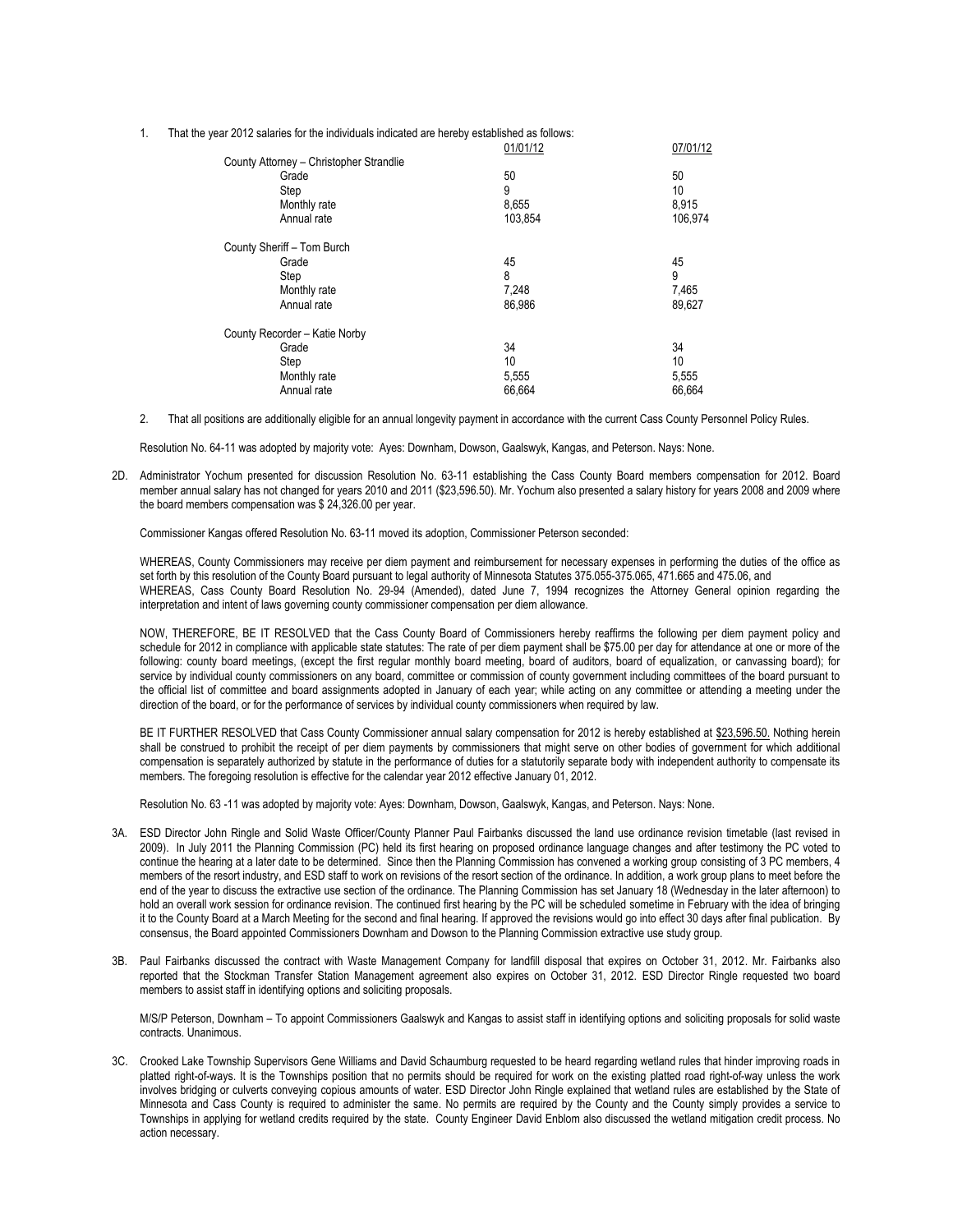1. That the year 2012 salaries for the individuals indicated are hereby established as follows:

|                                         | 01/01/12 | 07/01/12 |
|-----------------------------------------|----------|----------|
| County Attorney - Christopher Strandlie |          |          |
| Grade                                   | 50       | 50       |
| Step                                    | 9        | 10       |
| Monthly rate                            | 8,655    | 8,915    |
| Annual rate                             | 103.854  | 106,974  |
| County Sheriff - Tom Burch              |          |          |
| Grade                                   | 45       | 45       |
| Step                                    | 8        | 9        |
| Monthly rate                            | 7,248    | 7,465    |
| Annual rate                             | 86.986   | 89,627   |
| County Recorder - Katie Norby           |          |          |
| Grade                                   | 34       | 34       |
| Step                                    | 10       | 10       |
| Monthly rate                            | 5,555    | 5,555    |
| Annual rate                             | 66,664   | 66,664   |
|                                         |          |          |

2. That all positions are additionally eligible for an annual longevity payment in accordance with the current Cass County Personnel Policy Rules.

Resolution No. 64-11 was adopted by majority vote: Ayes: Downham, Dowson, Gaalswyk, Kangas, and Peterson. Nays: None.

2D. Administrator Yochum presented for discussion Resolution No. 63-11 establishing the Cass County Board members compensation for 2012. Board member annual salary has not changed for years 2010 and 2011 (\$23,596.50). Mr. Yochum also presented a salary history for years 2008 and 2009 where the board members compensation was \$ 24,326.00 per year.

Commissioner Kangas offered Resolution No. 63-11 moved its adoption, Commissioner Peterson seconded:

WHEREAS, County Commissioners may receive per diem payment and reimbursement for necessary expenses in performing the duties of the office as set forth by this resolution of the County Board pursuant to legal authority of Minnesota Statutes 375.055-375.065, 471.665 and 475.06, and WHEREAS, Cass County Board Resolution No. 29-94 (Amended), dated June 7, 1994 recognizes the Attorney General opinion regarding the interpretation and intent of laws governing county commissioner compensation per diem allowance.

NOW, THEREFORE, BE IT RESOLVED that the Cass County Board of Commissioners hereby reaffirms the following per diem payment policy and schedule for 2012 in compliance with applicable state statutes: The rate of per diem payment shall be \$75.00 per day for attendance at one or more of the following: county board meetings, (except the first regular monthly board meeting, board of auditors, board of equalization, or canvassing board); for service by individual county commissioners on any board, committee or commission of county government including committees of the board pursuant to the official list of committee and board assignments adopted in January of each year; while acting on any committee or attending a meeting under the direction of the board, or for the performance of services by individual county commissioners when required by law.

BE IT FURTHER RESOLVED that Cass County Commissioner annual salary compensation for 2012 is hereby established at \$23,596.50. Nothing herein shall be construed to prohibit the receipt of per diem payments by commissioners that might serve on other bodies of government for which additional compensation is separately authorized by statute in the performance of duties for a statutorily separate body with independent authority to compensate its members. The foregoing resolution is effective for the calendar year 2012 effective January 01, 2012.

Resolution No. 63 -11 was adopted by majority vote: Ayes: Downham, Dowson, Gaalswyk, Kangas, and Peterson. Nays: None.

- 3A. ESD Director John Ringle and Solid Waste Officer/County Planner Paul Fairbanks discussed the land use ordinance revision timetable (last revised in 2009). In July 2011 the Planning Commission (PC) held its first hearing on proposed ordinance language changes and after testimony the PC voted to continue the hearing at a later date to be determined. Since then the Planning Commission has convened a working group consisting of 3 PC members, 4 members of the resort industry, and ESD staff to work on revisions of the resort section of the ordinance. In addition, a work group plans to meet before the end of the year to discuss the extractive use section of the ordinance. The Planning Commission has set January 18 (Wednesday in the later afternoon) to hold an overall work session for ordinance revision. The continued first hearing by the PC will be scheduled sometime in February with the idea of bringing it to the County Board at a March Meeting for the second and final hearing. If approved the revisions would go into effect 30 days after final publication. By consensus, the Board appointed Commissioners Downham and Dowson to the Planning Commission extractive use study group.
- 3B. Paul Fairbanks discussed the contract with Waste Management Company for landfill disposal that expires on October 31, 2012. Mr. Fairbanks also reported that the Stockman Transfer Station Management agreement also expires on October 31, 2012. ESD Director Ringle requested two board members to assist staff in identifying options and soliciting proposals.

M/S/P Peterson, Downham – To appoint Commissioners Gaalswyk and Kangas to assist staff in identifying options and soliciting proposals for solid waste contracts. Unanimous.

3C. Crooked Lake Township Supervisors Gene Williams and David Schaumburg requested to be heard regarding wetland rules that hinder improving roads in platted right-of-ways. It is the Townships position that no permits should be required for work on the existing platted road right-of-way unless the work involves bridging or culverts conveying copious amounts of water. ESD Director John Ringle explained that wetland rules are established by the State of Minnesota and Cass County is required to administer the same. No permits are required by the County and the County simply provides a service to Townships in applying for wetland credits required by the state. County Engineer David Enblom also discussed the wetland mitigation credit process. No action necessary.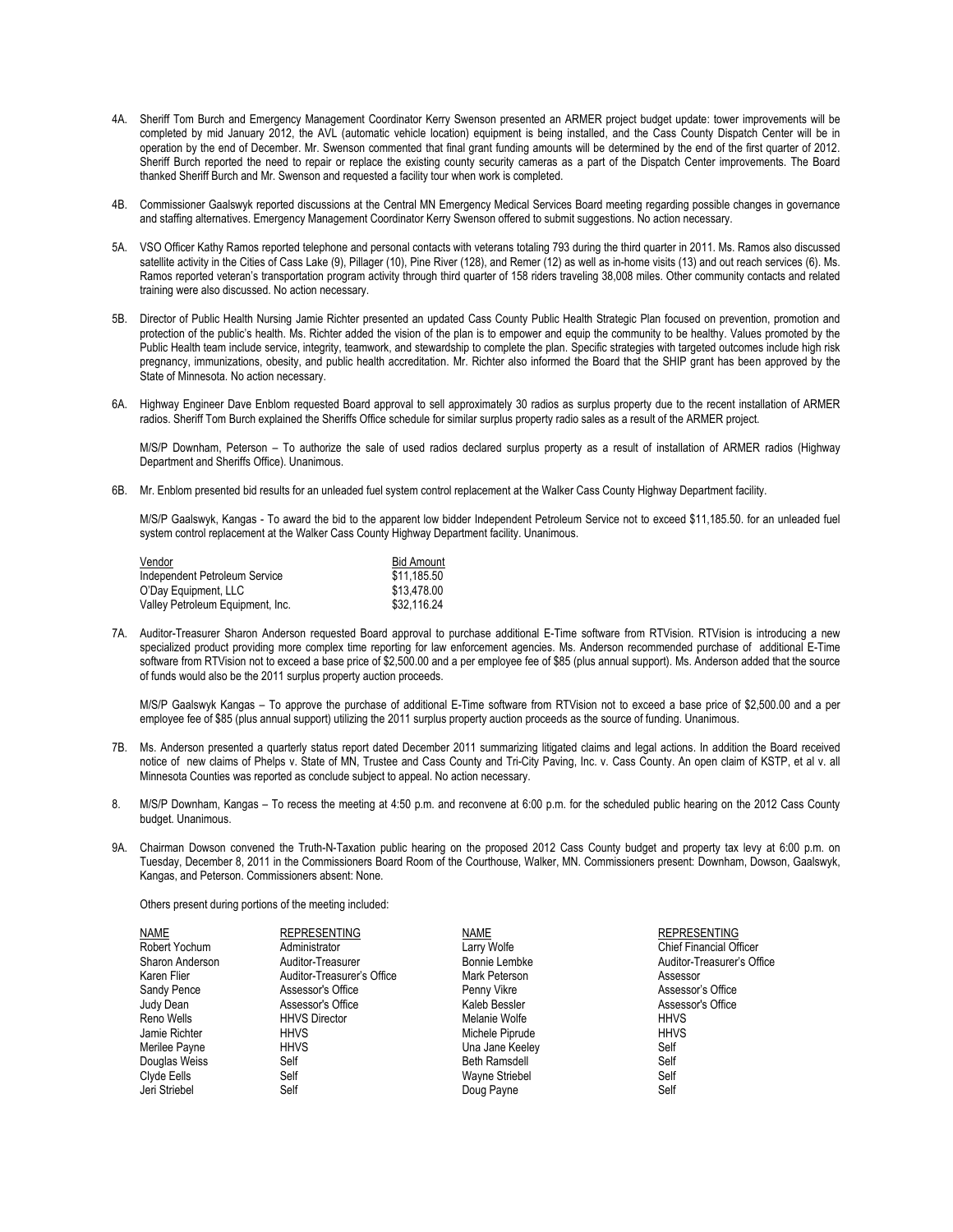- 4A. Sheriff Tom Burch and Emergency Management Coordinator Kerry Swenson presented an ARMER project budget update: tower improvements will be completed by mid January 2012, the AVL (automatic vehicle location) equipment is being installed, and the Cass County Dispatch Center will be in operation by the end of December. Mr. Swenson commented that final grant funding amounts will be determined by the end of the first quarter of 2012. Sheriff Burch reported the need to repair or replace the existing county security cameras as a part of the Dispatch Center improvements. The Board thanked Sheriff Burch and Mr. Swenson and requested a facility tour when work is completed.
- 4B. Commissioner Gaalswyk reported discussions at the Central MN Emergency Medical Services Board meeting regarding possible changes in governance and staffing alternatives. Emergency Management Coordinator Kerry Swenson offered to submit suggestions. No action necessary.
- 5A. VSO Officer Kathy Ramos reported telephone and personal contacts with veterans totaling 793 during the third quarter in 2011. Ms. Ramos also discussed satellite activity in the Cities of Cass Lake (9), Pillager (10), Pine River (128), and Remer (12) as well as in-home visits (13) and out reach services (6). Ms. Ramos reported veteran's transportation program activity through third quarter of 158 riders traveling 38,008 miles. Other community contacts and related training were also discussed. No action necessary.
- 5B. Director of Public Health Nursing Jamie Richter presented an updated Cass County Public Health Strategic Plan focused on prevention, promotion and protection of the public's health. Ms. Richter added the vision of the plan is to empower and equip the community to be healthy. Values promoted by the Public Health team include service, integrity, teamwork, and stewardship to complete the plan. Specific strategies with targeted outcomes include high risk pregnancy, immunizations, obesity, and public health accreditation. Mr. Richter also informed the Board that the SHIP grant has been approved by the State of Minnesota. No action necessary.
- 6A. Highway Engineer Dave Enblom requested Board approval to sell approximately 30 radios as surplus property due to the recent installation of ARMER radios. Sheriff Tom Burch explained the Sheriffs Office schedule for similar surplus property radio sales as a result of the ARMER project.

M/S/P Downham, Peterson – To authorize the sale of used radios declared surplus property as a result of installation of ARMER radios (Highway Department and Sheriffs Office). Unanimous.

6B. Mr. Enblom presented bid results for an unleaded fuel system control replacement at the Walker Cass County Highway Department facility.

M/S/P Gaalswyk, Kangas - To award the bid to the apparent low bidder Independent Petroleum Service not to exceed \$11,185.50. for an unleaded fuel system control replacement at the Walker Cass County Highway Department facility. Unanimous.

| Vendor                           | <b>Bid Amount</b> |
|----------------------------------|-------------------|
| Independent Petroleum Service    | \$11.185.50       |
| O'Day Equipment, LLC             | \$13.478.00       |
| Valley Petroleum Equipment, Inc. | \$32.116.24       |

7A. Auditor-Treasurer Sharon Anderson requested Board approval to purchase additional E-Time software from RTVision. RTVision is introducing a new specialized product providing more complex time reporting for law enforcement agencies. Ms. Anderson recommended purchase of additional E-Time software from RTVision not to exceed a base price of \$2,500.00 and a per employee fee of \$85 (plus annual support). Ms. Anderson added that the source of funds would also be the 2011 surplus property auction proceeds.

M/S/P Gaalswyk Kangas – To approve the purchase of additional E-Time software from RTVision not to exceed a base price of \$2,500.00 and a per employee fee of \$85 (plus annual support) utilizing the 2011 surplus property auction proceeds as the source of funding. Unanimous.

- 7B. Ms. Anderson presented a quarterly status report dated December 2011 summarizing litigated claims and legal actions. In addition the Board received notice of new claims of Phelps v. State of MN, Trustee and Cass County and Tri-City Paving, Inc. v. Cass County. An open claim of KSTP, et al v. all Minnesota Counties was reported as conclude subject to appeal. No action necessary.
- 8. M/S/P Downham, Kangas To recess the meeting at 4:50 p.m. and reconvene at 6:00 p.m. for the scheduled public hearing on the 2012 Cass County budget. Unanimous.
- 9A. Chairman Dowson convened the Truth-N-Taxation public hearing on the proposed 2012 Cass County budget and property tax levy at 6:00 p.m. on Tuesday, December 8, 2011 in the Commissioners Board Room of the Courthouse, Walker, MN. Commissioners present: Downham, Dowson, Gaalswyk, Kangas, and Peterson. Commissioners absent: None.

Others present during portions of the meeting included:

| <b>NAME</b>     | <b>REPRESENTING</b>        | <b>NAME</b>          | <b>REPRESENTING</b>            |
|-----------------|----------------------------|----------------------|--------------------------------|
| Robert Yochum   | Administrator              | Larry Wolfe          | <b>Chief Financial Officer</b> |
| Sharon Anderson | Auditor-Treasurer          | Bonnie Lembke        | Auditor-Treasurer's Office     |
| Karen Flier     | Auditor-Treasurer's Office | Mark Peterson        | Assessor                       |
| Sandy Pence     | Assessor's Office          | Penny Vikre          | Assessor's Office              |
| Judy Dean       | Assessor's Office          | Kaleb Bessler        | Assessor's Office              |
| Reno Wells      | <b>HHVS Director</b>       | Melanie Wolfe        | <b>HHVS</b>                    |
| Jamie Richter   | HHVS                       | Michele Piprude      | <b>HHVS</b>                    |
| Merilee Payne   | <b>HHVS</b>                | Una Jane Keeley      | Self                           |
| Douglas Weiss   | Self                       | <b>Beth Ramsdell</b> | Self                           |
| Clyde Eells     | Self                       | Wayne Striebel       | Self                           |
| Jeri Striebel   | Self                       | Doug Payne           | Self                           |